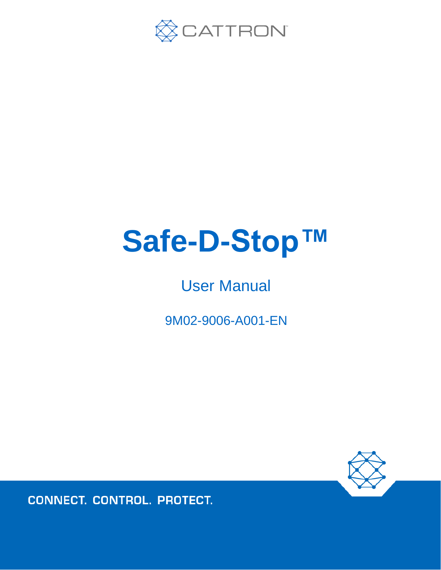

# **Safe-D-Stop™**

## User Manual

9M02-9006-A001-EN



**CONNECT. CONTROL. PROTECT.**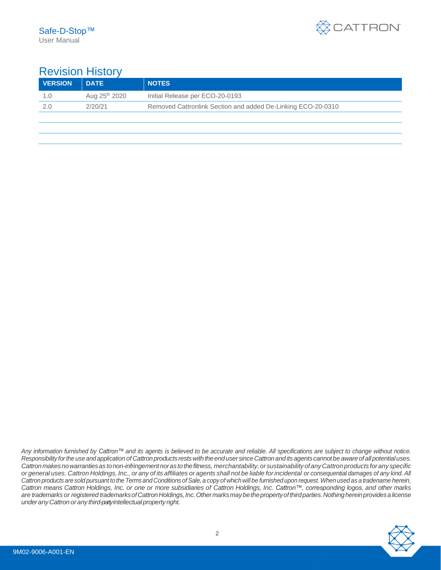

## Revision History

| <b>VERSION</b> | <b>DATE</b>               | <b>NOTES</b>                                                 |
|----------------|---------------------------|--------------------------------------------------------------|
| 1.0            | Aug 25 <sup>th</sup> 2020 | Initial Release per ECO-20-0193                              |
| 2.0            | 2/20/21                   | Removed Cattronlink Section and added De-Linking ECO-20-0310 |
|                |                           |                                                              |
|                |                           |                                                              |

Any information furnished by Cattron™ and its agents is believed to be accurate and reliable. All specifications are subject to change without notice. *Responsibility forthe use and application of Cattronproducts restswiththeendusersinceCattronandits agents cannotbe awareof allpotentialuses. Cattronmakesnowarrantiesas tonon-infringementnoras tothefitness, merchantability,orsustainabilityofanyCattronproducts forany specific* or general uses. Cattron Holdings, Inc., or any of its affiliates or agents shall not be liable for incidental or consequential damages of any kind. All Cattron products are sold pursuant to the Terms and Conditions of Sale, a copy of which will be furnished upon request. When used as a tradename herein, *Cattron means Cattron Holdings, Inc. or one or more subsidiaries of Cattron Holdings, Inc. Cattron™, corresponding logos, and other marks are trademarks or registered trademarksofCattronHoldings,Inc.Othermarksmaybethepropertyofthirdparties.Nothinghereinprovidesalicense underanyCattron or any third-partyintellectualproperty right.*

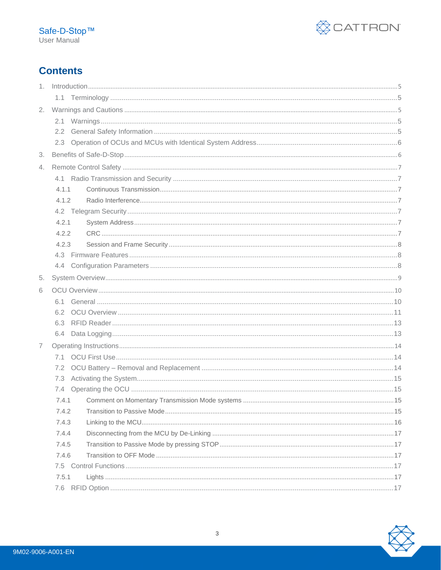

## **Contents**

| 2.             |       |  |
|----------------|-------|--|
|                |       |  |
|                | 2.2   |  |
|                |       |  |
| 3.             |       |  |
| 4.             |       |  |
|                |       |  |
|                | 4.1.1 |  |
|                | 4.1.2 |  |
|                |       |  |
|                | 4.2.1 |  |
|                | 4.2.2 |  |
|                | 4.2.3 |  |
|                |       |  |
|                |       |  |
| 5.             |       |  |
| 6              |       |  |
|                |       |  |
|                | 6.2   |  |
|                | 6.3   |  |
|                |       |  |
| $\overline{7}$ |       |  |
|                |       |  |
|                |       |  |
|                | 7.3   |  |
|                |       |  |
|                | 7.4.1 |  |
|                | 7.4.2 |  |
|                | 7.4.3 |  |
|                | 7.4.4 |  |
|                | 7.4.5 |  |
|                | 7.4.6 |  |
|                |       |  |
|                | 7.5.1 |  |
|                | 7.6   |  |

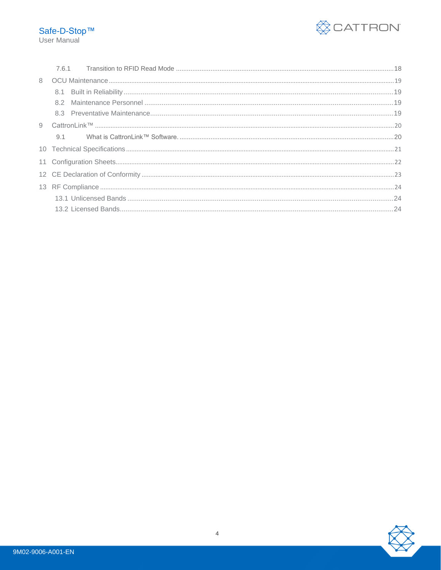

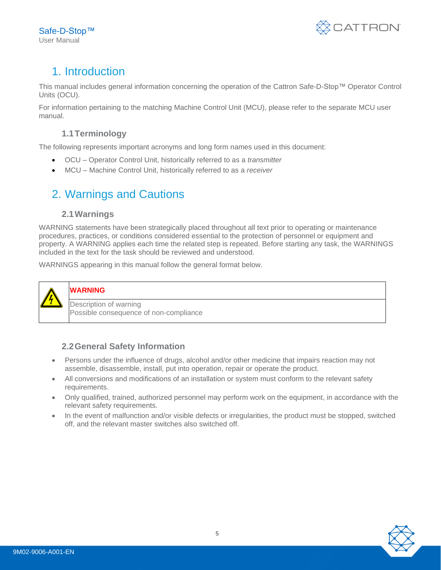

## <span id="page-4-0"></span>1. Introduction

This manual includes general information concerning the operation of the Cattron Safe-D-Stop™ Operator Control Units (OCU).

For information pertaining to the matching Machine Control Unit (MCU), please refer to the separate MCU user manual.

### **1.1Terminology**

<span id="page-4-1"></span>The following represents important acronyms and long form names used in this document:

- OCU Operator Control Unit, historically referred to as a *transmitter*
- <span id="page-4-2"></span>• MCU – Machine Control Unit, historically referred to as a *receiver*

## 2. Warnings and Cautions

#### **2.1Warnings**

<span id="page-4-3"></span>WARNING statements have been strategically placed throughout all text prior to operating or maintenance procedures, practices, or conditions considered essential to the protection of personnel or equipment and property. A WARNING applies each time the related step is repeated. Before starting any task, the WARNINGS included in the text for the task should be reviewed and understood.

WARNINGS appearing in this manual follow the general format below.



#### **WARNING**

Description of warning Possible consequence of non-compliance

#### <span id="page-4-4"></span>**2.2General Safety Information**

- Persons under the influence of drugs, alcohol and/or other medicine that impairs reaction may not assemble, disassemble, install, put into operation, repair or operate the product.
- All conversions and modifications of an installation or system must conform to the relevant safety requirements.
- Only qualified, trained, authorized personnel may perform work on the equipment, in accordance with the relevant safety requirements.
- In the event of malfunction and/or visible defects or irregularities, the product must be stopped, switched off, and the relevant master switches also switched off.

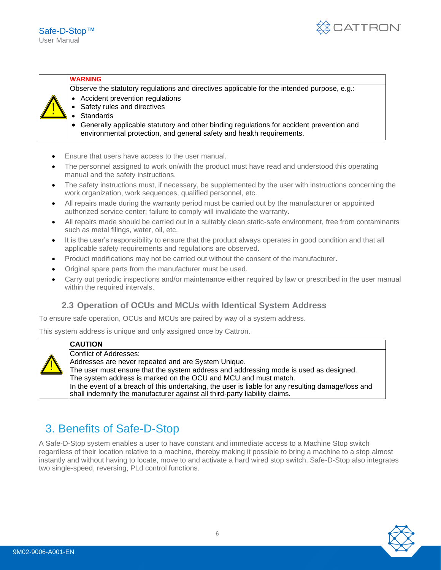

#### **WARNING**

Observe the statutory regulations and directives applicable for the intended purpose, e.g.:

- Accident prevention regulations
- Safety rules and directives
	- Standards
	- Generally applicable statutory and other binding regulations for accident prevention and environmental protection, and general safety and health requirements.
- Ensure that users have access to the user manual.
- The personnel assigned to work on/with the product must have read and understood this operating manual and the safety instructions.
- The safety instructions must, if necessary, be supplemented by the user with instructions concerning the work organization, work sequences, qualified personnel, etc.
- All repairs made during the warranty period must be carried out by the manufacturer or appointed authorized service center; failure to comply will invalidate the warranty.
- All repairs made should be carried out in a suitably clean static-safe environment, free from contaminants such as metal filings, water, oil, etc.
- It is the user's responsibility to ensure that the product always operates in good condition and that all applicable safety requirements and regulations are observed.
- Product modifications may not be carried out without the consent of the manufacturer.
- Original spare parts from the manufacturer must be used.
- Carry out periodic inspections and/or maintenance either required by law or prescribed in the user manual within the required intervals.

#### <span id="page-5-0"></span>**2.3 Operation of OCUs and MCUs with Identical System Address**

To ensure safe operation, OCUs and MCUs are paired by way of a system address.

This system address is unique and only assigned once by Cattron.



#### **CAUTION**

Conflict of Addresses: Addresses are never repeated and are System Unique.

The user must ensure that the system address and addressing mode is used as designed. The system address is marked on the OCU and MCU and must match. In the event of a breach of this undertaking, the user is liable for any resulting damage/loss and shall indemnify the manufacturer against all third-party liability claims.

## <span id="page-5-1"></span>3. Benefits of Safe-D-Stop

A Safe-D-Stop system enables a user to have constant and immediate access to a Machine Stop switch regardless of their location relative to a machine, thereby making it possible to bring a machine to a stop almost instantly and without having to locate, move to and activate a hard wired stop switch. Safe-D-Stop also integrates two single-speed, reversing, PLd control functions.

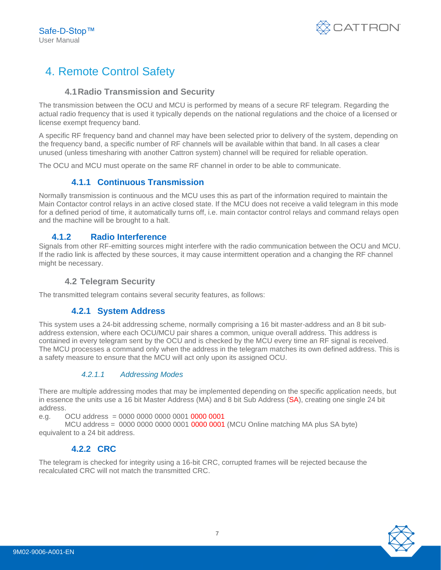

## <span id="page-6-0"></span>4. Remote Control Safety

#### **4.1Radio Transmission and Security**

<span id="page-6-1"></span>The transmission between the OCU and MCU is performed by means of a secure RF telegram. Regarding the actual radio frequency that is used it typically depends on the national regulations and the choice of a licensed or license exempt frequency band.

A specific RF frequency band and channel may have been selected prior to delivery of the system, depending on the frequency band, a specific number of RF channels will be available within that band. In all cases a clear unused (unless timesharing with another Cattron system) channel will be required for reliable operation.

<span id="page-6-2"></span>The OCU and MCU must operate on the same RF channel in order to be able to communicate.

#### **4.1.1 Continuous Transmission**

Normally transmission is continuous and the MCU uses this as part of the information required to maintain the Main Contactor control relays in an active closed state. If the MCU does not receive a valid telegram in this mode for a defined period of time, it automatically turns off, i.e. main contactor control relays and command relays open and the machine will be brought to a halt.

#### <span id="page-6-3"></span>**4.1.2 Radio Interference**

Signals from other RF-emitting sources might interfere with the radio communication between the OCU and MCU. If the radio link is affected by these sources, it may cause intermittent operation and a changing the RF channel might be necessary.

#### <span id="page-6-4"></span>**4.2 Telegram Security**

<span id="page-6-5"></span>The transmitted telegram contains several security features, as follows:

#### **4.2.1 System Address**

This system uses a 24-bit addressing scheme, normally comprising a 16 bit master-address and an 8 bit subaddress extension, where each OCU/MCU pair shares a common, unique overall address. This address is contained in every telegram sent by the OCU and is checked by the MCU every time an RF signal is received. The MCU processes a command only when the address in the telegram matches its own defined address. This is a safety measure to ensure that the MCU will act only upon its assigned OCU.

#### *4.2.1.1 Addressing Modes*

There are multiple addressing modes that may be implemented depending on the specific application needs, but in essence the units use a 16 bit Master Address (MA) and 8 bit Sub Address (SA), creating one single 24 bit address.

e.g. OCU address = 0000 0000 0000 0001 0000 0001

<span id="page-6-6"></span>MCU address = 0000 0000 0000 0001 0000 0001 (MCU Online matching MA plus SA byte) equivalent to a 24 bit address.

#### **4.2.2 CRC**

The telegram is checked for integrity using a 16-bit CRC, corrupted frames will be rejected because the recalculated CRC will not match the transmitted CRC.

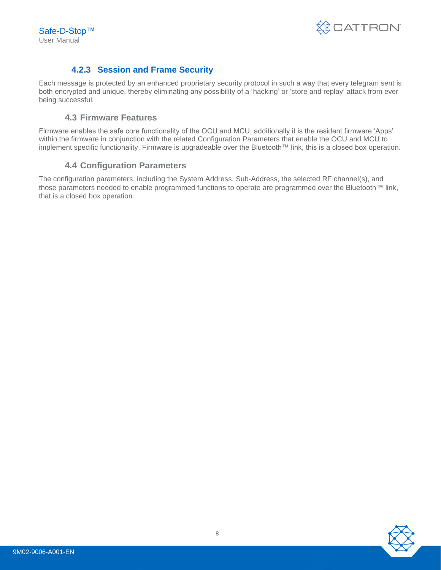

#### **4.2.3 Session and Frame Security**

<span id="page-7-0"></span>Each message is protected by an enhanced proprietary security protocol in such a way that every telegram sent is both encrypted and unique, thereby eliminating any possibility of a 'hacking' or 'store and replay' attack from ever being successful.

#### <span id="page-7-1"></span>**4.3 Firmware Features**

Firmware enables the safe core functionality of the OCU and MCU, additionally it is the resident firmware 'Apps' within the firmware in conjunction with the related Configuration Parameters that enable the OCU and MCU to implement specific functionality. Firmware is upgradeable over the Bluetooth™ link, this is a closed box operation.

#### <span id="page-7-2"></span>**4.4 Configuration Parameters**

The configuration parameters, including the System Address, Sub-Address, the selected RF channel(s), and those parameters needed to enable programmed functions to operate are programmed over the Bluetooth™ link, that is a closed box operation.

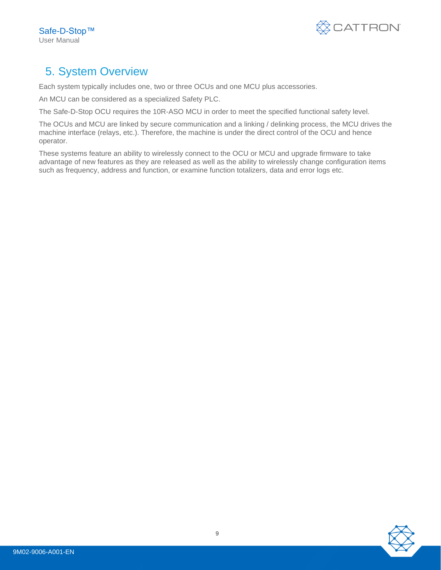

## <span id="page-8-0"></span>5. System Overview

Each system typically includes one, two or three OCUs and one MCU plus accessories.

An MCU can be considered as a specialized Safety PLC.

The Safe-D-Stop OCU requires the 10R-ASO MCU in order to meet the specified functional safety level.

The OCUs and MCU are linked by secure communication and a linking / delinking process, the MCU drives the machine interface (relays, etc.). Therefore, the machine is under the direct control of the OCU and hence operator.

These systems feature an ability to wirelessly connect to the OCU or MCU and upgrade firmware to take advantage of new features as they are released as well as the ability to wirelessly change configuration items such as frequency, address and function, or examine function totalizers, data and error logs etc.

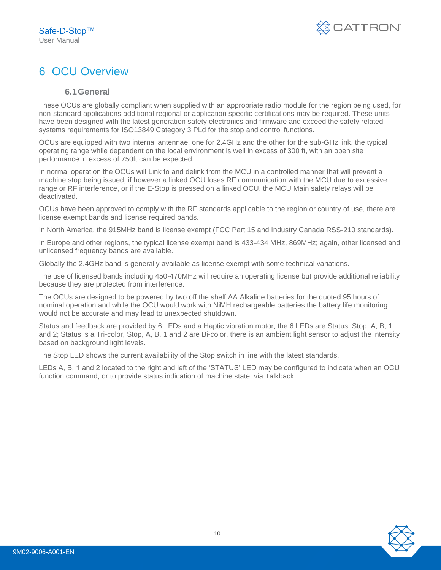

## <span id="page-9-1"></span><span id="page-9-0"></span>6 OCU Overview

#### **6.1General**

These OCUs are globally compliant when supplied with an appropriate radio module for the region being used, for non-standard applications additional regional or application specific certifications may be required. These units have been designed with the latest generation safety electronics and firmware and exceed the safety related systems requirements for ISO13849 Category 3 PLd for the stop and control functions.

OCUs are equipped with two internal antennae, one for 2.4GHz and the other for the sub-GHz link, the typical operating range while dependent on the local environment is well in excess of 300 ft, with an open site performance in excess of 750ft can be expected.

In normal operation the OCUs will Link to and delink from the MCU in a controlled manner that will prevent a machine stop being issued, if however a linked OCU loses RF communication with the MCU due to excessive range or RF interference, or if the E-Stop is pressed on a linked OCU, the MCU Main safety relays will be deactivated.

OCUs have been approved to comply with the RF standards applicable to the region or country of use, there are license exempt bands and license required bands.

In North America, the 915MHz band is license exempt (FCC Part 15 and Industry Canada RSS-210 standards).

In Europe and other regions, the typical license exempt band is 433-434 MHz, 869MHz; again, other licensed and unlicensed frequency bands are available.

Globally the 2.4GHz band is generally available as license exempt with some technical variations.

The use of licensed bands including 450-470MHz will require an operating license but provide additional reliability because they are protected from interference.

The OCUs are designed to be powered by two off the shelf AA Alkaline batteries for the quoted 95 hours of nominal operation and while the OCU would work with NiMH rechargeable batteries the battery life monitoring would not be accurate and may lead to unexpected shutdown.

Status and feedback are provided by 6 LEDs and a Haptic vibration motor, the 6 LEDs are Status, Stop, A, B, 1 and 2; Status is a Tri-color, Stop, A, B, 1 and 2 are Bi-color, there is an ambient light sensor to adjust the intensity based on background light levels.

The Stop LED shows the current availability of the Stop switch in line with the latest standards.

LEDs A, B, 1 and 2 located to the right and left of the 'STATUS' LED may be configured to indicate when an OCU function command, or to provide status indication of machine state, via Talkback.

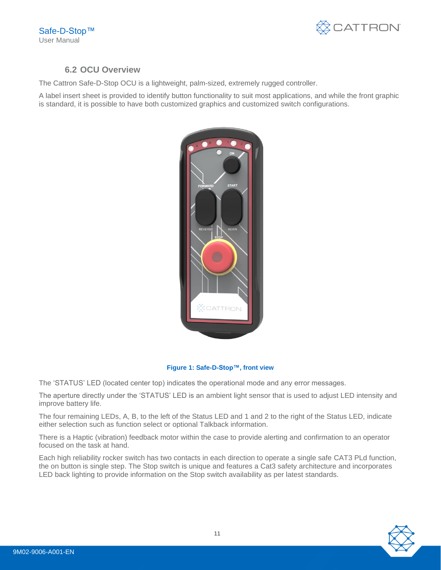

#### <span id="page-10-0"></span>**6.2 OCU Overview**

The Cattron Safe-D-Stop OCU is a lightweight, palm-sized, extremely rugged controller.

A label insert sheet is provided to identify button functionality to suit most applications, and while the front graphic is standard, it is possible to have both customized graphics and customized switch configurations.



#### **Figure 1: Safe-D-Stop™, front view**

The 'STATUS' LED (located center top) indicates the operational mode and any error messages.

The aperture directly under the 'STATUS' LED is an ambient light sensor that is used to adjust LED intensity and improve battery life.

The four remaining LEDs, A, B, to the left of the Status LED and 1 and 2 to the right of the Status LED, indicate either selection such as function select or optional Talkback information.

There is a Haptic (vibration) feedback motor within the case to provide alerting and confirmation to an operator focused on the task at hand.

Each high reliability rocker switch has two contacts in each direction to operate a single safe CAT3 PLd function, the on button is single step. The Stop switch is unique and features a Cat3 safety architecture and incorporates LED back lighting to provide information on the Stop switch availability as per latest standards.

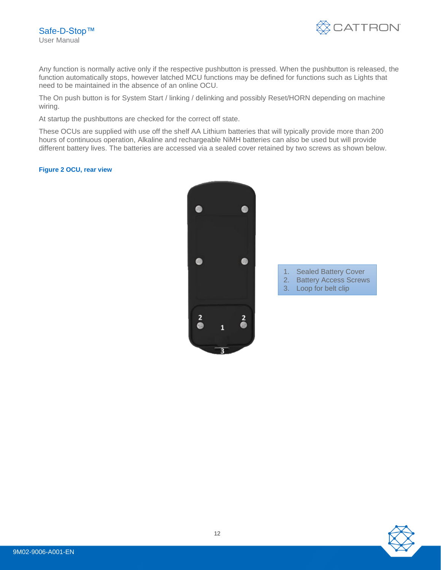

Any function is normally active only if the respective pushbutton is pressed. When the pushbutton is released, the function automatically stops, however latched MCU functions may be defined for functions such as Lights that need to be maintained in the absence of an online OCU.

The On push button is for System Start / linking / delinking and possibly Reset/HORN depending on machine wiring.

At startup the pushbuttons are checked for the correct off state.

These OCUs are supplied with use off the shelf AA Lithium batteries that will typically provide more than 200 hours of continuous operation, Alkaline and rechargeable NiMH batteries can also be used but will provide different battery lives. The batteries are accessed via a sealed cover retained by two screws as shown below.

#### **Figure 2 OCU, rear view**



- 1. Sealed Battery Cover
- 2. Battery Access Screws
- 3. Loop for belt clip

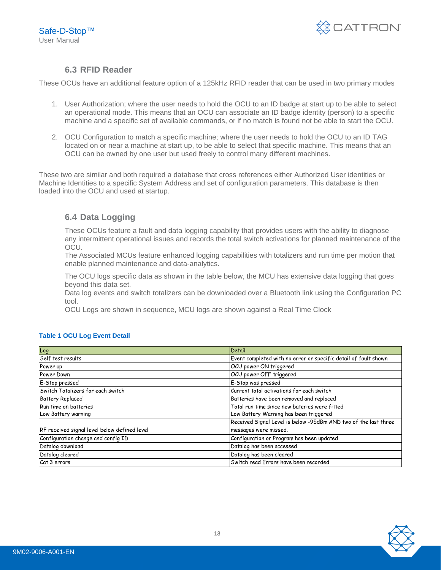

#### <span id="page-12-0"></span>**6.3 RFID Reader**

These OCUs have an additional feature option of a 125kHz RFID reader that can be used in two primary modes

- 1. User Authorization; where the user needs to hold the OCU to an ID badge at start up to be able to select an operational mode. This means that an OCU can associate an ID badge identity (person) to a specific machine and a specific set of available commands, or if no match is found not be able to start the OCU.
- 2. OCU Configuration to match a specific machine; where the user needs to hold the OCU to an ID TAG located on or near a machine at start up, to be able to select that specific machine. This means that an OCU can be owned by one user but used freely to control many different machines.

These two are similar and both required a database that cross references either Authorized User identities or Machine Identities to a specific System Address and set of configuration parameters. This database is then loaded into the OCU and used at startup.

#### <span id="page-12-1"></span>**6.4 Data Logging**

These OCUs feature a fault and data logging capability that provides users with the ability to diagnose any intermittent operational issues and records the total switch activations for planned maintenance of the OCU.

The Associated MCUs feature enhanced logging capabilities with totalizers and run time per motion that enable planned maintenance and data-analytics.

The OCU logs specific data as shown in the table below, the MCU has extensive data logging that goes beyond this data set.

Data log events and switch totalizers can be downloaded over a Bluetooth link using the Configuration PC tool.

OCU Logs are shown in sequence, MCU logs are shown against a Real Time Clock

| Log                                          | Detail                                                          |  |  |  |  |
|----------------------------------------------|-----------------------------------------------------------------|--|--|--|--|
| Self test results                            | Event completed with no error or specific detail of fault shown |  |  |  |  |
| Power up                                     | OCU power ON triggered                                          |  |  |  |  |
| Power Down                                   | OCU power OFF triggered                                         |  |  |  |  |
| E-Stop pressed                               | E-Stop was pressed                                              |  |  |  |  |
| Switch Totalizers for each switch            | Current total activations for each switch                       |  |  |  |  |
| <b>Battery Replaced</b>                      | Batteries have been removed and replaced                        |  |  |  |  |
| Run time on batteries                        | Total run time since new bateries were fitted                   |  |  |  |  |
| Low Battery warning                          | Low Battery Warning has been triggered                          |  |  |  |  |
|                                              | Received Signal Level is below -95dBm AND two of the last three |  |  |  |  |
| RF received signal level below defined level | messages were missed.                                           |  |  |  |  |
| Configuration change and config ID           | Configuration or Program has been updated                       |  |  |  |  |
| Datalog download                             | Datalog has been accessed                                       |  |  |  |  |
| Datalog cleared                              | Datalog has been cleared                                        |  |  |  |  |
| Cat 3 errors                                 | Switch read Errors have been recorded                           |  |  |  |  |

#### **Table 1 OCU Log Event Detail**

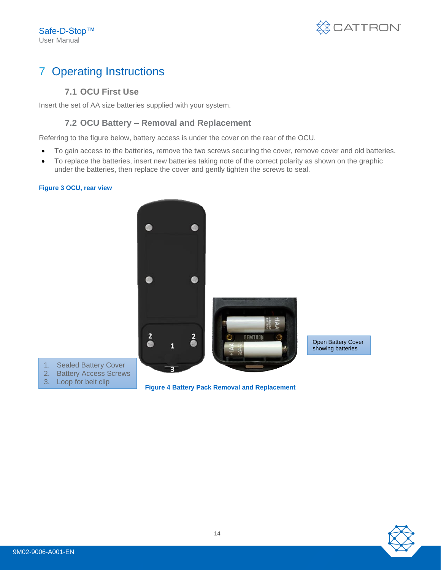

## <span id="page-13-0"></span>7 Operating Instructions

#### <span id="page-13-1"></span>**7.1 OCU First Use**

Insert the set of AA size batteries supplied with your system.

#### <span id="page-13-2"></span>**7.2 OCU Battery – Removal and Replacement**

Referring to the figure below, battery access is under the cover on the rear of the OCU.

- To gain access to the batteries, remove the two screws securing the cover, remove cover and old batteries.
- To replace the batteries, insert new batteries taking note of the correct polarity as shown on the graphic under the batteries, then replace the cover and gently tighten the screws to seal.

#### **Figure 3 OCU, rear view**



- 1. Sealed Battery Cover 2. Battery Access Screws
- 3. Loop for belt clip

**Figure 4 Battery Pack Removal and Replacement**

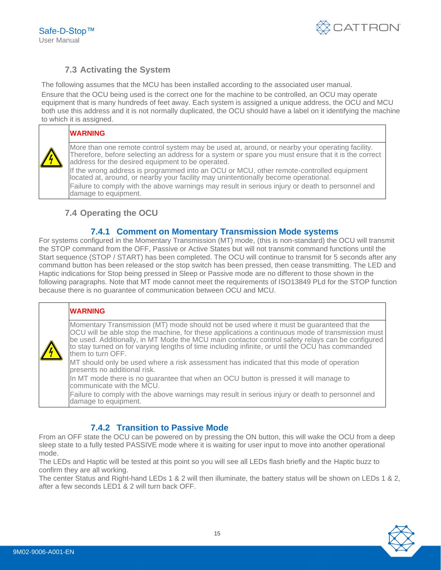Safe-D-Stop™ User Manual



#### <span id="page-14-0"></span>**7.3 Activating the System**

The following assumes that the MCU has been installed according to the associated user manual. Ensure that the OCU being used is the correct one for the machine to be controlled, an OCU may operate equipment that is many hundreds of feet away. Each system is assigned a unique address, the OCU and MCU both use this address and it is not normally duplicated, the OCU should have a label on it identifying the machine to which it is assigned.

#### **WARNING**

More than one remote control system may be used at, around, or nearby your operating facility. Therefore, before selecting an address for a system or spare you must ensure that it is the correct address for the desired equipment to be operated.

If the wrong address is programmed into an OCU or MCU, other remote-controlled equipment located at, around, or nearby your facility may unintentionally become operational. Failure to comply with the above warnings may result in serious injury or death to personnel and damage to equipment.

#### <span id="page-14-1"></span>**7.4 Operating the OCU**

#### **7.4.1 Comment on Momentary Transmission Mode systems**

<span id="page-14-2"></span>For systems configured in the Momentary Transmission (MT) mode, (this is non-standard) the OCU will transmit the STOP command from the OFF, Passive or Active States but will not transmit command functions until the Start sequence (STOP / START) has been completed. The OCU will continue to transmit for 5 seconds after any command button has been released or the stop switch has been pressed, then cease transmitting. The LED and Haptic indications for Stop being pressed in Sleep or Passive mode are no different to those shown in the following paragraphs. Note that MT mode cannot meet the requirements of ISO13849 PLd for the STOP function because there is no guarantee of communication between OCU and MCU.

#### **WARNING**

Momentary Transmission (MT) mode should not be used where it must be guaranteed that the OCU will be able stop the machine, for these applications a continuous mode of transmission must be used. Additionally, in MT Mode the MCU main contactor control safety relays can be configured to stay turned on for varying lengths of time including infinite, or until the OCU has commanded them to turn OFF.

MT should only be used where a risk assessment has indicated that this mode of operation presents no additional risk.

In MT mode there is no guarantee that when an OCU button is pressed it will manage to communicate with the MCU.

Failure to comply with the above warnings may result in serious injury or death to personnel and damage to equipment.

#### **7.4.2 Transition to Passive Mode**

<span id="page-14-3"></span>From an OFF state the OCU can be powered on by pressing the ON button, this will wake the OCU from a deep sleep state to a fully tested PASSIVE mode where it is waiting for user input to move into another operational mode.

The LEDs and Haptic will be tested at this point so you will see all LEDs flash briefly and the Haptic buzz to confirm they are all working.

The center Status and Right-hand LEDs 1 & 2 will then illuminate, the battery status will be shown on LEDs 1 & 2, after a few seconds LED1 & 2 will turn back OFF.

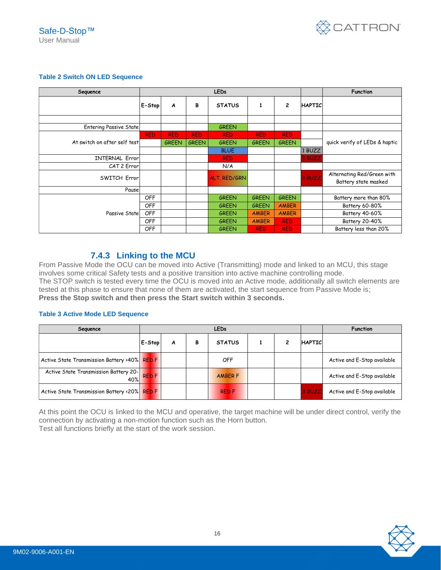

#### **Table 2 Switch ON LED Sequence**

| Sequence                     | <b>LEDs</b> |              |              |                     |              |              |               | <b>Function</b>                                    |
|------------------------------|-------------|--------------|--------------|---------------------|--------------|--------------|---------------|----------------------------------------------------|
|                              | E-Stop      | A            | В            | <b>STATUS</b>       | 1            | 2            | <b>HAPTIC</b> |                                                    |
|                              |             |              |              |                     |              |              |               |                                                    |
| Entering Passive State       |             |              |              | <b>GREEN</b>        |              |              |               |                                                    |
|                              | <b>RED</b>  | <b>RED</b>   | <b>RED</b>   | <b>RED</b>          | <b>RED</b>   | <b>RED</b>   |               |                                                    |
| At switch on after self test |             | <b>GREEN</b> | <b>GREEN</b> | <b>GREEN</b>        | <b>GREEN</b> | <b>GREEN</b> |               | quick verify of LEDs & haptic                      |
|                              |             |              |              | <b>BLUE</b>         |              |              | 1 BUZZ        |                                                    |
| <b>INTERNAL Error</b>        |             |              |              | <b>RED</b>          |              |              | 3 BUZZ        |                                                    |
| CAT 2 Error                  |             |              |              | N/A                 |              |              |               |                                                    |
| SWITCH Error                 |             |              |              | <b>ALT. RED/GRN</b> |              |              | 3 BUZZ        | Alternating Red/Green with<br>Battery state masked |
| Pause                        |             |              |              |                     |              |              |               |                                                    |
|                              | <b>OFF</b>  |              |              | <b>GREEN</b>        | <b>GREEN</b> | <b>GREEN</b> |               | Battery more than 80%                              |
|                              | <b>OFF</b>  |              |              | <b>GREEN</b>        | <b>GREEN</b> | <b>AMBER</b> |               | Battery 60-80%                                     |
| Passive State                | <b>OFF</b>  |              |              | <b>GREEN</b>        | <b>AMBER</b> | <b>AMBER</b> |               | Battery 40-60%                                     |
|                              | <b>OFF</b>  |              |              | <b>GREEN</b>        | <b>AMBER</b> | <b>RED</b>   |               | Battery 20-40%                                     |
|                              | <b>OFF</b>  |              |              | <b>GREEN</b>        | <b>RED</b>   | <b>RED</b>   |               | Battery less than 20%                              |

#### **7.4.3 Linking to the MCU**

<span id="page-15-0"></span>From Passive Mode the OCU can be moved into Active (Transmitting) mode and linked to an MCU, this stage involves some critical Safety tests and a positive transition into active machine controlling mode. The STOP switch is tested every time the OCU is moved into an Active mode, additionally all switch elements are tested at this phase to ensure that none of them are activated, the start sequence from Passive Mode is; **Press the Stop switch and then press the Start switch within 3 seconds.**

#### **Table 3 Active Mode LED Sequence**

| Sequence                                     | <b>LEDs</b>  |   |   |                |  |  |               | <b>Function</b>             |
|----------------------------------------------|--------------|---|---|----------------|--|--|---------------|-----------------------------|
|                                              | E-Stop       | A | В | <b>STATUS</b>  |  |  | <b>HAPTIC</b> |                             |
| Active State Transmission Battery >40% RED F |              |   |   | OFF            |  |  |               | Active and E-Stop available |
| Active State Transmission Battery 20-<br>40% | <b>RED F</b> |   |   | <b>AMBER F</b> |  |  |               | Active and E-Stop available |
| Active State Transmission Battery <20% RED F |              |   |   | <b>RED F</b>   |  |  | 3 BUZZ        | Active and E-Stop available |

At this point the OCU is linked to the MCU and operative, the target machine will be under direct control, verify the connection by activating a non-motion function such as the Horn button. Test all functions briefly at the start of the work session.

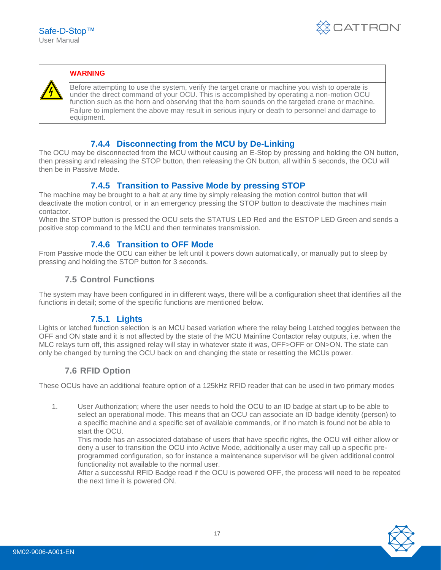



#### **WARNING**

Before attempting to use the system, verify the target crane or machine you wish to operate is under the direct command of your OCU. This is accomplished by operating a non-motion OCU function such as the horn and observing that the horn sounds on the targeted crane or machine. Failure to implement the above may result in serious injury or death to personnel and damage to equipment.

#### **7.4.4 Disconnecting from the MCU by De-Linking**

<span id="page-16-0"></span>The OCU may be disconnected from the MCU without causing an E-Stop by pressing and holding the ON button, then pressing and releasing the STOP button, then releasing the ON button, all within 5 seconds, the OCU will then be in Passive Mode.

#### **7.4.5 Transition to Passive Mode by pressing STOP**

<span id="page-16-1"></span>The machine may be brought to a halt at any time by simply releasing the motion control button that will deactivate the motion control, or in an emergency pressing the STOP button to deactivate the machines main contactor.

<span id="page-16-2"></span>When the STOP button is pressed the OCU sets the STATUS LED Red and the ESTOP LED Green and sends a positive stop command to the MCU and then terminates transmission.

#### **7.4.6 Transition to OFF Mode**

From Passive mode the OCU can either be left until it powers down automatically, or manually put to sleep by pressing and holding the STOP button for 3 seconds.

#### <span id="page-16-3"></span>**7.5 Control Functions**

<span id="page-16-4"></span>The system may have been configured in in different ways, there will be a configuration sheet that identifies all the functions in detail; some of the specific functions are mentioned below.

#### **7.5.1 Lights**

Lights or latched function selection is an MCU based variation where the relay being Latched toggles between the OFF and ON state and it is not affected by the state of the MCU Mainline Contactor relay outputs, i.e. when the MLC relays turn off, this assigned relay will stay in whatever state it was, OFF>OFF or ON>ON. The state can only be changed by turning the OCU back on and changing the state or resetting the MCUs power.

#### <span id="page-16-5"></span>**7.6 RFID Option**

These OCUs have an additional feature option of a 125kHz RFID reader that can be used in two primary modes

1. User Authorization; where the user needs to hold the OCU to an ID badge at start up to be able to select an operational mode. This means that an OCU can associate an ID badge identity (person) to a specific machine and a specific set of available commands, or if no match is found not be able to start the OCU.

This mode has an associated database of users that have specific rights, the OCU will either allow or deny a user to transition the OCU into Active Mode, additionally a user may call up a specific preprogrammed configuration, so for instance a maintenance supervisor will be given additional control functionality not available to the normal user.

After a successful RFID Badge read if the OCU is powered OFF, the process will need to be repeated the next time it is powered ON.

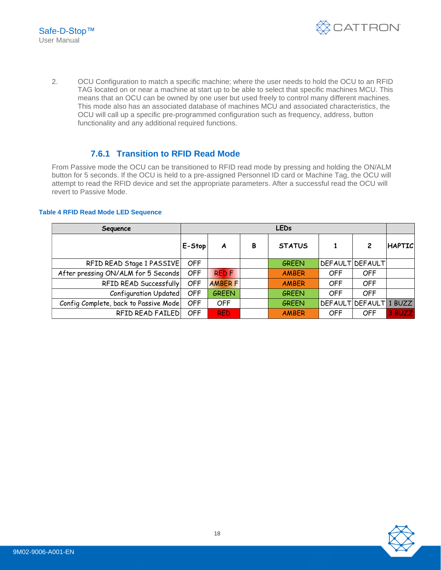

2. OCU Configuration to match a specific machine; where the user needs to hold the OCU to an RFID TAG located on or near a machine at start up to be able to select that specific machines MCU. This means that an OCU can be owned by one user but used freely to control many different machines. This mode also has an associated database of machines MCU and associated characteristics, the OCU will call up a specific pre-programmed configuration such as frequency, address, button functionality and any additional required functions.

#### **7.6.1 Transition to RFID Read Mode**

<span id="page-17-0"></span>From Passive mode the OCU can be transitioned to RFID read mode by pressing and holding the ON/ALM button for 5 seconds. If the OCU is held to a pre-assigned Personnel ID card or Machine Tag, the OCU will attempt to read the RFID device and set the appropriate parameters. After a successful read the OCU will revert to Passive Mode.

#### **Table 4 RFID Read Mode LED Sequence**

| Sequence                              | <b>LEDs</b> |                 |   |               |     |                        |               |  |  |
|---------------------------------------|-------------|-----------------|---|---------------|-----|------------------------|---------------|--|--|
|                                       | E-Stop      | A               | В | <b>STATUS</b> |     | 2                      | <b>HAPTIC</b> |  |  |
| RFID READ Stage 1 PASSIVE             | OFF         |                 |   | <b>GREEN</b>  |     | <b>DEFAULT DEFAULT</b> |               |  |  |
| After pressing ON/ALM for 5 Seconds   | <b>OFF</b>  | <b>RED F</b>    |   | <b>AMBER</b>  | OFF | OFF                    |               |  |  |
| RFID READ Successfully                | <b>OFF</b>  | <b>AMBER FI</b> |   | <b>AMBER</b>  | OFF | <b>OFF</b>             |               |  |  |
| Configuration Updated                 | <b>OFF</b>  | <b>GREEN</b>    |   | <b>GREEN</b>  | OFF | <b>OFF</b>             |               |  |  |
| Config Complete, back to Passive Mode | OFF         | <b>OFF</b>      |   | <b>GREEN</b>  |     | DEFAULT DEFAULT 1 BUZZ |               |  |  |
| RFID READ FAILED                      | OFF         | <b>RED</b>      |   | <b>AMBER</b>  | OFF | <b>OFF</b>             | 3 BUZZ        |  |  |

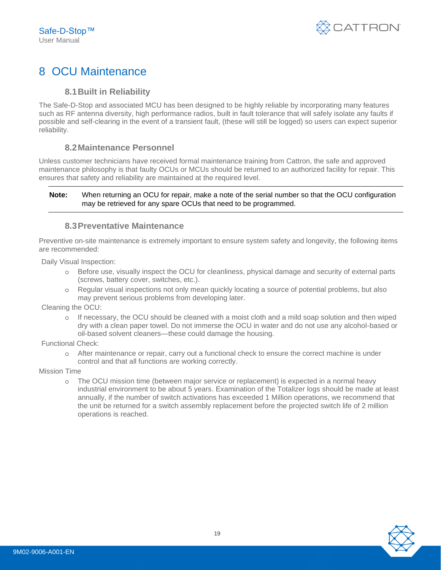

## <span id="page-18-1"></span><span id="page-18-0"></span>8 OCU Maintenance

#### **8.1Built in Reliability**

The Safe-D-Stop and associated MCU has been designed to be highly reliable by incorporating many features such as RF antenna diversity, high performance radios, built in fault tolerance that will safely isolate any faults if possible and self-clearing in the event of a transient fault, (these will still be logged) so users can expect superior reliability.

#### **8.2Maintenance Personnel**

<span id="page-18-2"></span>Unless customer technicians have received formal maintenance training from Cattron, the safe and approved maintenance philosophy is that faulty OCUs or MCUs should be returned to an authorized facility for repair. This ensures that safety and reliability are maintained at the required level.

#### **Note:** When returning an OCU for repair, make a note of the serial number so that the OCU configuration may be retrieved for any spare OCUs that need to be programmed.

#### **8.3Preventative Maintenance**

<span id="page-18-3"></span>Preventive on-site maintenance is extremely important to ensure system safety and longevity, the following items are recommended:

Daily Visual Inspection:

- o Before use, visually inspect the OCU for cleanliness, physical damage and security of external parts (screws, battery cover, switches, etc.).
- o Regular visual inspections not only mean quickly locating a source of potential problems, but also may prevent serious problems from developing later.

Cleaning the OCU:

o If necessary, the OCU should be cleaned with a moist cloth and a mild soap solution and then wiped dry with a clean paper towel. Do not immerse the OCU in water and do not use any alcohol-based or oil-based solvent cleaners—these could damage the housing.

Functional Check:

o After maintenance or repair, carry out a functional check to ensure the correct machine is under control and that all functions are working correctly.

Mission Time

o The OCU mission time (between major service or replacement) is expected in a normal heavy industrial environment to be about 5 years. Examination of the Totalizer logs should be made at least annually, if the number of switch activations has exceeded 1 Million operations, we recommend that the unit be returned for a switch assembly replacement before the projected switch life of 2 million operations is reached.

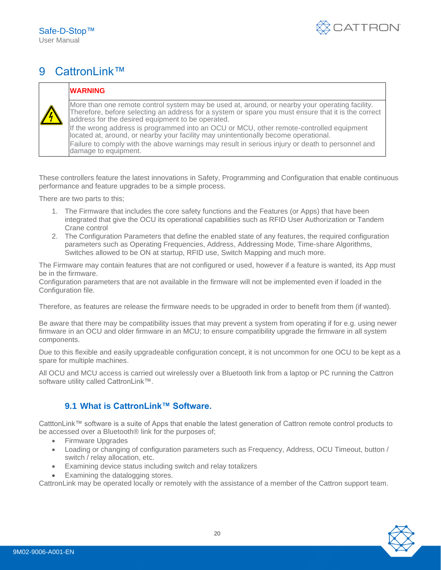

## <span id="page-19-0"></span>9 CattronLink™

#### **WARNING**

More than one remote control system may be used at, around, or nearby your operating facility. Therefore, before selecting an address for a system or spare you must ensure that it is the correct address for the desired equipment to be operated. If the wrong address is programmed into an OCU or MCU, other remote-controlled equipment located at, around, or nearby your facility may unintentionally become operational. Failure to comply with the above warnings may result in serious injury or death to personnel and damage to equipment.

These controllers feature the latest innovations in Safety, Programming and Configuration that enable continuous performance and feature upgrades to be a simple process.

There are two parts to this;

- 1. The Firmware that includes the core safety functions and the Features (or Apps) that have been integrated that give the OCU its operational capabilities such as RFID User Authorization or Tandem Crane control
- 2. The Configuration Parameters that define the enabled state of any features, the required configuration parameters such as Operating Frequencies, Address, Addressing Mode, Time-share Algorithms, Switches allowed to be ON at startup, RFID use, Switch Mapping and much more.

The Firmware may contain features that are not configured or used, however if a feature is wanted, its App must be in the firmware.

Configuration parameters that are not available in the firmware will not be implemented even if loaded in the Configuration file.

Therefore, as features are release the firmware needs to be upgraded in order to benefit from them (if wanted).

Be aware that there may be compatibility issues that may prevent a system from operating if for e.g. using newer firmware in an OCU and older firmware in an MCU; to ensure compatibility upgrade the firmware in all system components.

Due to this flexible and easily upgradeable configuration concept, it is not uncommon for one OCU to be kept as a spare for multiple machines.

All OCU and MCU access is carried out wirelessly over a Bluetooth link from a laptop or PC running the Cattron software utility called CattronLink™.

#### <span id="page-19-1"></span>**9.1 What is CattronLink™ Software.**

CatttonLink™ software is a suite of Apps that enable the latest generation of Cattron remote control products to be accessed over a Bluetooth® link for the purposes of;

- Firmware Upgrades
- Loading or changing of configuration parameters such as Frequency, Address, OCU Timeout, button / switch / relay allocation, etc.
- Examining device status including switch and relay totalizers
- Examining the datalogging stores.

CattronLink may be operated locally or remotely with the assistance of a member of the Cattron support team.

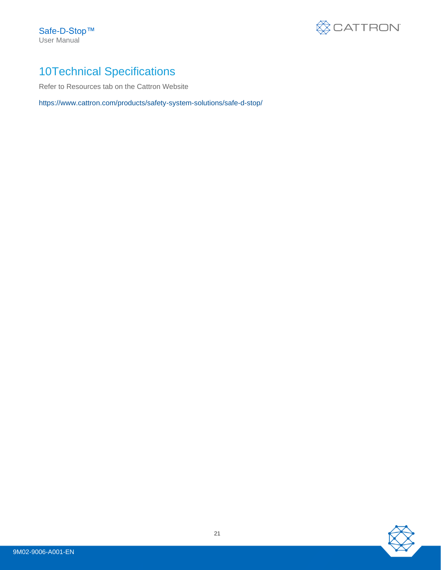Safe-D-Stop™ User Manual



## <span id="page-20-0"></span>10Technical Specifications

Refer to Resources tab on the Cattron Website

<https://www.cattron.com/products/safety-system-solutions/safe-d-stop/>

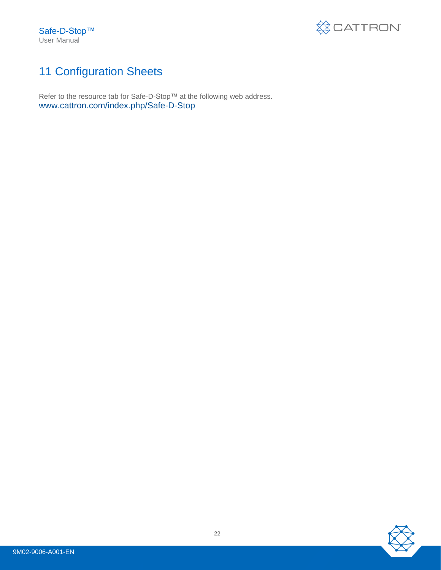Safe-D-Stop™ User Manual



## <span id="page-21-0"></span>11 Configuration Sheets

Refer to the resource tab for Safe-D-Stop™ at the following web address. [www.cattron.com/index.php/Safe-D-Stop](http://www.cattron.com/index.php/Safe-D-Stop)

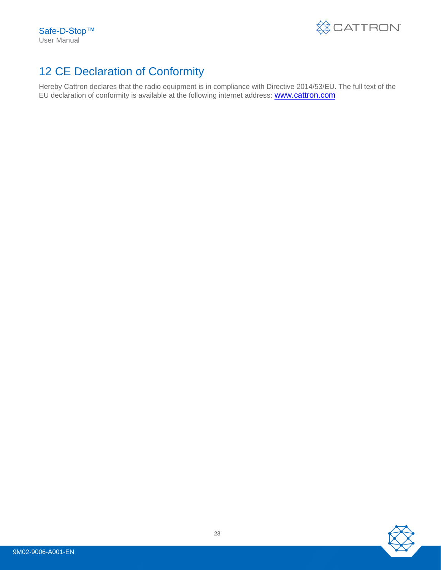

## <span id="page-22-0"></span>12 CE Declaration of Conformity

Hereby Cattron declares that the radio equipment is in compliance with Directive 2014/53/EU. The full text of the EU declaration of conformity is available at the following internet address: **[www.cattron.com](http://www.cattron.com./)** 

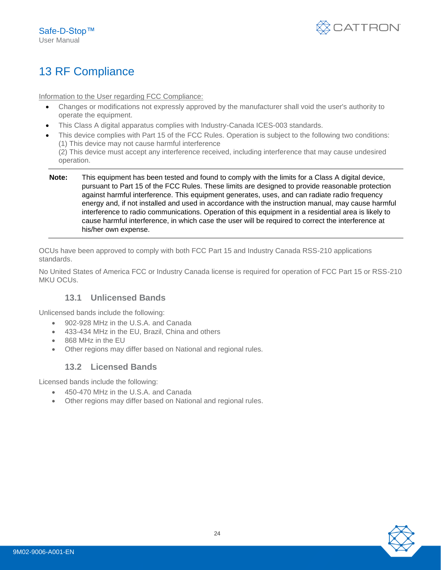

## <span id="page-23-0"></span>13 RF Compliance

Information to the User regarding FCC Compliance:

- Changes or modifications not expressly approved by the manufacturer shall void the user's authority to operate the equipment.
- This Class A digital apparatus complies with Industry-Canada ICES-003 standards.
	- This device complies with Part 15 of the FCC Rules. Operation is subject to the following two conditions: (1) This device may not cause harmful interference (2) This device must accept any interference received, including interference that may cause undesired
	- operation.
- **Note:** This equipment has been tested and found to comply with the limits for a Class A digital device, pursuant to Part 15 of the FCC Rules. These limits are designed to provide reasonable protection against harmful interference. This equipment generates, uses, and can radiate radio frequency energy and, if not installed and used in accordance with the instruction manual, may cause harmful interference to radio communications. Operation of this equipment in a residential area is likely to cause harmful interference, in which case the user will be required to correct the interference at his/her own expense.

OCUs have been approved to comply with both FCC Part 15 and Industry Canada RSS-210 applications standards.

<span id="page-23-1"></span>No United States of America FCC or Industry Canada license is required for operation of FCC Part 15 or RSS-210 MKU OCUs.

#### **13.1 Unlicensed Bands**

Unlicensed bands include the following:

- 902-928 MHz in the U.S.A. and Canada
- 433-434 MHz in the EU, Brazil, China and others
- 868 MHz in the EU
- <span id="page-23-2"></span>• Other regions may differ based on National and regional rules.

#### **13.2 Licensed Bands**

Licensed bands include the following:

- 450-470 MHz in the U.S.A. and Canada
- Other regions may differ based on National and regional rules.